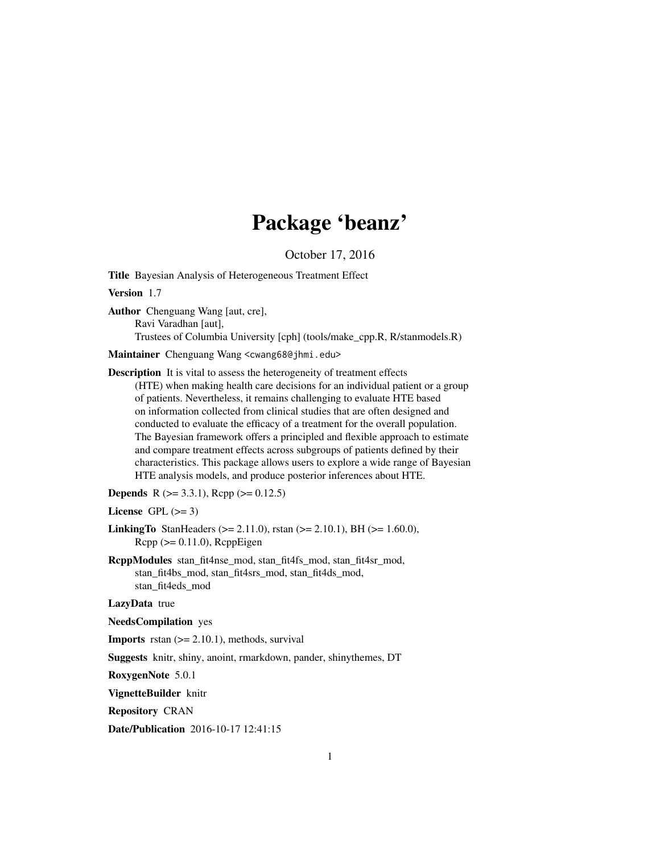# Package 'beanz'

October 17, 2016

Title Bayesian Analysis of Heterogeneous Treatment Effect

Version 1.7

Author Chenguang Wang [aut, cre], Ravi Varadhan [aut], Trustees of Columbia University [cph] (tools/make\_cpp.R, R/stanmodels.R)

Maintainer Chenguang Wang <cwang68@jhmi.edu>

Description It is vital to assess the heterogeneity of treatment effects (HTE) when making health care decisions for an individual patient or a group of patients. Nevertheless, it remains challenging to evaluate HTE based on information collected from clinical studies that are often designed and conducted to evaluate the efficacy of a treatment for the overall population. The Bayesian framework offers a principled and flexible approach to estimate and compare treatment effects across subgroups of patients defined by their characteristics. This package allows users to explore a wide range of Bayesian HTE analysis models, and produce posterior inferences about HTE.

**Depends** R  $(>= 3.3.1)$ , Rcpp  $(>= 0.12.5)$ 

License GPL  $(>= 3)$ 

**LinkingTo** StanHeaders ( $>= 2.11.0$ ), rstan ( $>= 2.10.1$ ), BH ( $>= 1.60.0$ ),  $Rcpp \, (> = 0.11.0)$ ,  $RcppEigen$ 

RcppModules stan\_fit4nse\_mod, stan\_fit4fs\_mod, stan\_fit4sr\_mod, stan\_fit4bs\_mod, stan\_fit4srs\_mod, stan\_fit4ds\_mod, stan\_fit4eds\_mod

LazyData true

NeedsCompilation yes

**Imports** rstan  $(>= 2.10.1)$ , methods, survival

Suggests knitr, shiny, anoint, rmarkdown, pander, shinythemes, DT

RoxygenNote 5.0.1

VignetteBuilder knitr

Repository CRAN

Date/Publication 2016-10-17 12:41:15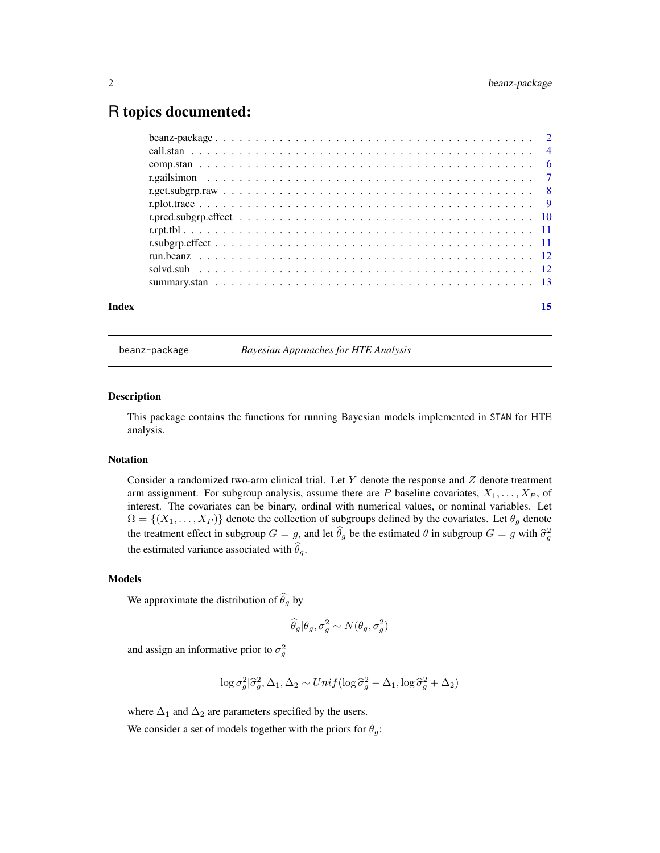# <span id="page-1-0"></span>R topics documented:

| Index | 15 |
|-------|----|
|       |    |
|       |    |
|       |    |
|       |    |
|       |    |
|       |    |
|       |    |
|       |    |
|       |    |
|       |    |
|       |    |
|       |    |

<span id="page-1-1"></span>beanz-package *Bayesian Approaches for HTE Analysis*

# Description

This package contains the functions for running Bayesian models implemented in STAN for HTE analysis.

#### Notation

Consider a randomized two-arm clinical trial. Let  $Y$  denote the response and  $Z$  denote treatment arm assignment. For subgroup analysis, assume there are P baseline covariates,  $X_1, \ldots, X_P$ , of interest. The covariates can be binary, ordinal with numerical values, or nominal variables. Let  $\Omega = \{(X_1, \ldots, X_P)\}\$  denote the collection of subgroups defined by the covariates. Let  $\theta_g$  denote the treatment effect in subgroup  $G = g$ , and let  $\hat{\theta}_g$  be the estimated  $\theta$  in subgroup  $G = g$  with  $\hat{\sigma}_g^2$ the estimated variance associated with  $\theta_g$ .

# Models

We approximate the distribution of  $\widehat{\theta}_g$  by

$$
\widehat{\theta}_g | \theta_g, \sigma_g^2 \sim N(\theta_g, \sigma_g^2)
$$

and assign an informative prior to  $\sigma_g^2$ 

$$
\log \sigma_g^2/\hat{\sigma}_g^2, \Delta_1, \Delta_2 \sim Unif(\log \hat{\sigma}_g^2 - \Delta_1, \log \hat{\sigma}_g^2 + \Delta_2)
$$

where  $\Delta_1$  and  $\Delta_2$  are parameters specified by the users.

We consider a set of models together with the priors for  $\theta_g$ :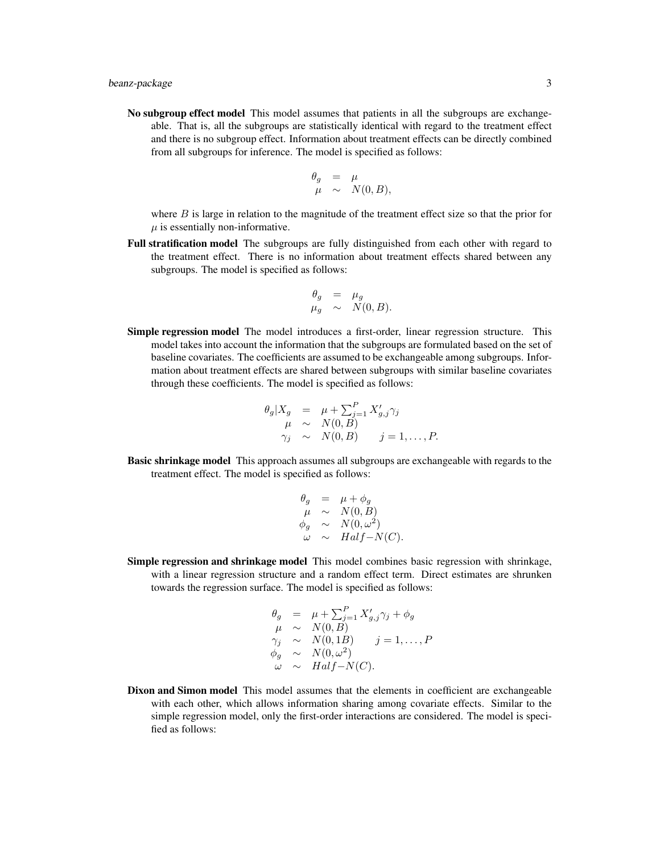No subgroup effect model This model assumes that patients in all the subgroups are exchangeable. That is, all the subgroups are statistically identical with regard to the treatment effect and there is no subgroup effect. Information about treatment effects can be directly combined from all subgroups for inference. The model is specified as follows:

$$
\begin{array}{rcl}\n\theta_g & = & \mu \\
\mu & \sim & N(0, B),\n\end{array}
$$

where  $B$  is large in relation to the magnitude of the treatment effect size so that the prior for  $\mu$  is essentially non-informative.

Full stratification model The subgroups are fully distinguished from each other with regard to the treatment effect. There is no information about treatment effects shared between any subgroups. The model is specified as follows:

$$
\begin{array}{rcl}\n\theta_g & = & \mu_g \\
\mu_g & \sim & N(0, B).\n\end{array}
$$

Simple regression model The model introduces a first-order, linear regression structure. This model takes into account the information that the subgroups are formulated based on the set of baseline covariates. The coefficients are assumed to be exchangeable among subgroups. Information about treatment effects are shared between subgroups with similar baseline covariates through these coefficients. The model is specified as follows:

$$
\theta_g | X_g = \mu + \sum_{j=1}^P X'_{g,j} \gamma_j
$$
  
\n
$$
\mu \sim N(0, B)
$$
  
\n
$$
\gamma_j \sim N(0, B) \qquad j = 1, ..., P.
$$

Basic shrinkage model This approach assumes all subgroups are exchangeable with regards to the treatment effect. The model is specified as follows:

$$
\begin{array}{rcl}\n\theta_g & = & \mu + \phi_g \\
\mu & \sim & N(0, B) \\
\phi_g & \sim & N(0, \omega^2) \\
\omega & \sim & Half - N(C).\n\end{array}
$$

Simple regression and shrinkage model This model combines basic regression with shrinkage, with a linear regression structure and a random effect term. Direct estimates are shrunken towards the regression surface. The model is specified as follows:

$$
\begin{array}{rcl}\n\theta_g & = & \mu + \sum_{j=1}^P X'_{g,j} \gamma_j + \phi_g \\
\mu & \sim & N(0, B) \\
\gamma_j & \sim & N(0, 1B) \\
\phi_g & \sim & N(0, \omega^2) \\
\omega & \sim & Half - N(C).\n\end{array}
$$

Dixon and Simon model This model assumes that the elements in coefficient are exchangeable with each other, which allows information sharing among covariate effects. Similar to the simple regression model, only the first-order interactions are considered. The model is specified as follows: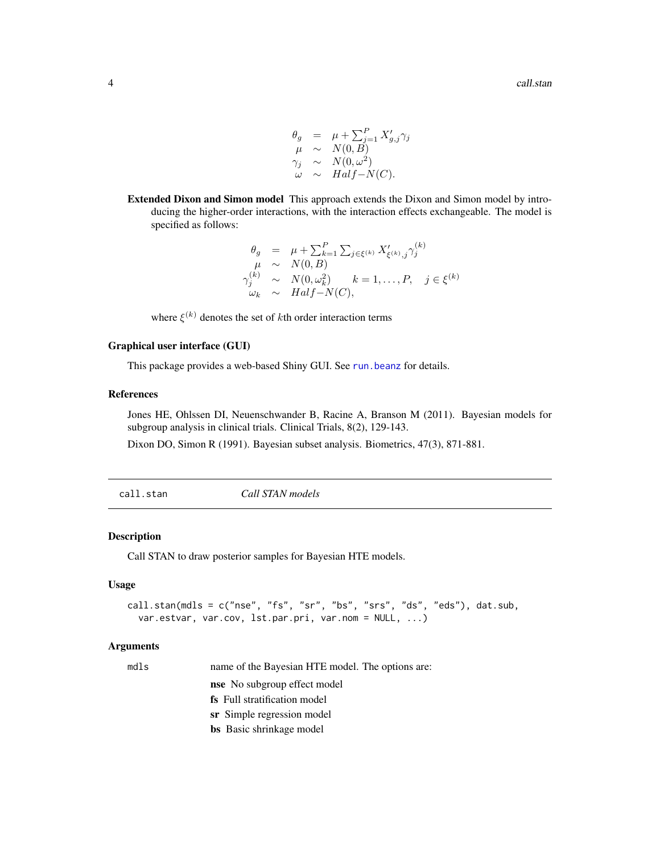$$
\begin{array}{rcl}\n\theta_g & = & \mu + \sum_{j=1}^P X'_{g,j} \gamma_j \\
\mu & \sim & N(0, B) \\
\gamma_j & \sim & N(0, \omega^2) \\
\omega & \sim & Half - N(C).\n\end{array}
$$

<span id="page-3-0"></span>Extended Dixon and Simon model This approach extends the Dixon and Simon model by introducing the higher-order interactions, with the interaction effects exchangeable. The model is specified as follows:

$$
\begin{array}{rcl}\n\theta_g & = & \mu + \sum_{k=1}^P \sum_{j \in \xi^{(k)}} X'_{\xi^{(k)},j} \gamma_j^{(k)} \\
\mu & \sim & N(0, B) \\
\gamma_j^{(k)} & \sim & N(0, \omega_k^2) \\
\omega_k & \sim & Half-N(C),\n\end{array}
$$

where  $\xi^{(k)}$  denotes the set of kth order interaction terms

#### Graphical user interface (GUI)

This package provides a web-based Shiny GUI. See [run.beanz](#page-11-1) for details.

#### References

Jones HE, Ohlssen DI, Neuenschwander B, Racine A, Branson M (2011). Bayesian models for subgroup analysis in clinical trials. Clinical Trials, 8(2), 129-143.

Dixon DO, Simon R (1991). Bayesian subset analysis. Biometrics, 47(3), 871-881.

<span id="page-3-1"></span>call.stan *Call STAN models*

#### Description

Call STAN to draw posterior samples for Bayesian HTE models.

#### Usage

```
call.stan(mdls = c("nse", "fs", "sr", "bs", "srs", "ds", "eds"), dat.sub,
  var.estvar, var.cov, lst.par.pri, var.nom = NULL, ...)
```
# Arguments

| M.<br> | ×<br>۰, |
|--------|---------|

name of the Bayesian HTE model. The options are: nse No subgroup effect model fs Full stratification model sr Simple regression model

bs Basic shrinkage model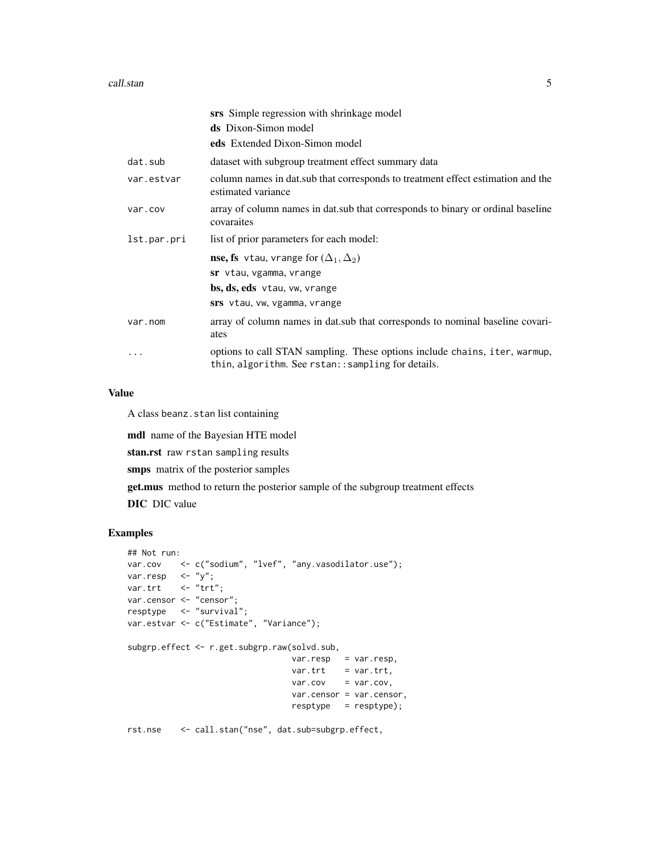|             | srs Simple regression with shrinkage model                                                                                       |
|-------------|----------------------------------------------------------------------------------------------------------------------------------|
|             | <b>ds</b> Dixon-Simon model                                                                                                      |
|             | eds Extended Dixon-Simon model                                                                                                   |
| dat.sub     | dataset with subgroup treatment effect summary data                                                                              |
| var.estvar  | column names in dat. sub that corresponds to treatment effect estimation and the<br>estimated variance                           |
| var.cov     | array of column names in dat. sub that corresponds to binary or ordinal baseline<br>covaraites                                   |
| lst.par.pri | list of prior parameters for each model:                                                                                         |
|             | <b>nse, fs</b> vtau, vrange for $(\Delta_1, \Delta_2)$                                                                           |
|             | sr vtau, vgamma, vrange                                                                                                          |
|             | bs, ds, eds vtau, vw, vrange                                                                                                     |
|             | srs vtau, vw, vgamma, vrange                                                                                                     |
| var.nom     | array of column names in dat. sub that corresponds to nominal baseline covari-<br>ates                                           |
|             | options to call STAN sampling. These options include chains, iter, warmup,<br>thin, algorithm. See rstan:: sampling for details. |

#### Value

A class beanz.stan list containing

mdl name of the Bayesian HTE model stan.rst raw rstan sampling results smps matrix of the posterior samples get.mus method to return the posterior sample of the subgroup treatment effects DIC DIC value

# Examples

```
## Not run:
var.cov <- c("sodium", "lvef", "any.vasodilator.use");
var.resp \langle - "y";
var.trt <- "trt";
var.censor <- "censor";
resptype <- "survival";
var.estvar <- c("Estimate", "Variance");
subgrp.effect <- r.get.subgrp.raw(solvd.sub,
                                 var.resp = var.resp,
                                 var.trt = var.trt,
                                 var.cov = var.cov,
                                 var.censor = var.censor,
                                 resptype = resptype);
```
rst.nse <- call.stan("nse", dat.sub=subgrp.effect,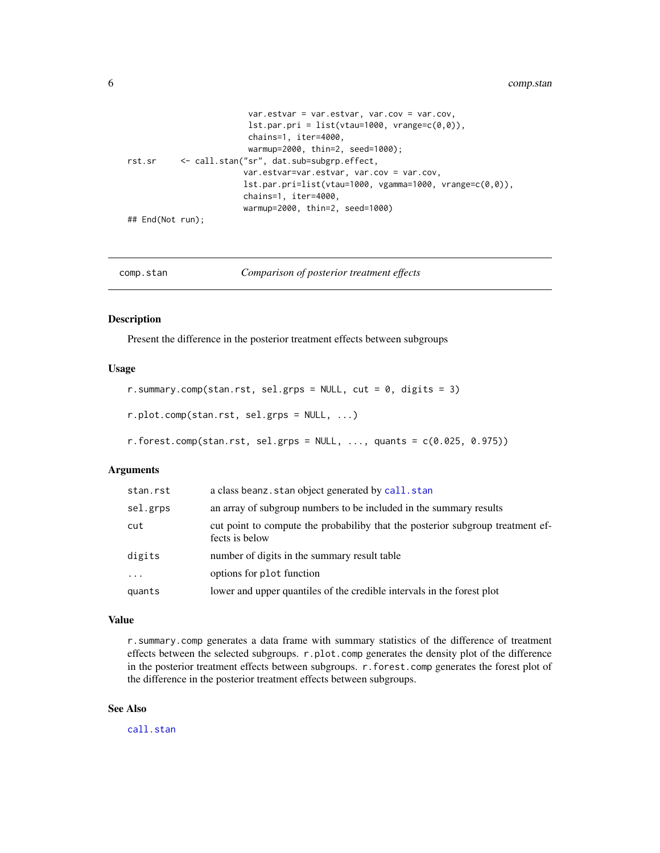```
var.estvar = var.estvar, var.cov = var.cov,
                        lst.par.pri = list(vtau=1000, vrange=c(0,0)),chains=1, iter=4000,
                        warmup=2000, thin=2, seed=1000);
rst.sr <- call.stan("sr", dat.sub=subgrp.effect,
                       var.estvar=var.estvar, var.cov = var.cov,
                       lst.par.pri=list(vtau=1000, vgamma=1000, vrange=c(0,0)),
                       chains=1, iter=4000,
                       warmup=2000, thin=2, seed=1000)
## End(Not run);
```

| Comparison of posterior treatment effects<br>comp.stan |  |
|--------------------------------------------------------|--|
|--------------------------------------------------------|--|

#### Description

Present the difference in the posterior treatment effects between subgroups

#### Usage

```
r.summary.comp(stan.rst, sel.grps = NULL, cut = 0, digits = 3)
```
r.plot.comp(stan.rst, sel.grps = NULL, ...)

 $r.forest.comp(stat.rst, sel.grps = NULL, ..., quants = c(0.025, 0.975))$ 

# Arguments

| stan.rst                | a class beanz. stan object generated by call. stan                                               |
|-------------------------|--------------------------------------------------------------------------------------------------|
| sel.grps                | an array of subgroup numbers to be included in the summary results                               |
| cut                     | cut point to compute the probabiliby that the posterior subgroup treatment ef-<br>fects is below |
| digits                  | number of digits in the summary result table                                                     |
| $\cdot$ $\cdot$ $\cdot$ | options for plot function                                                                        |
| quants                  | lower and upper quantiles of the credible intervals in the forest plot                           |

#### Value

r.summary.comp generates a data frame with summary statistics of the difference of treatment effects between the selected subgroups. r.plot.comp generates the density plot of the difference in the posterior treatment effects between subgroups. r.forest.comp generates the forest plot of the difference in the posterior treatment effects between subgroups.

# See Also

[call.stan](#page-3-1)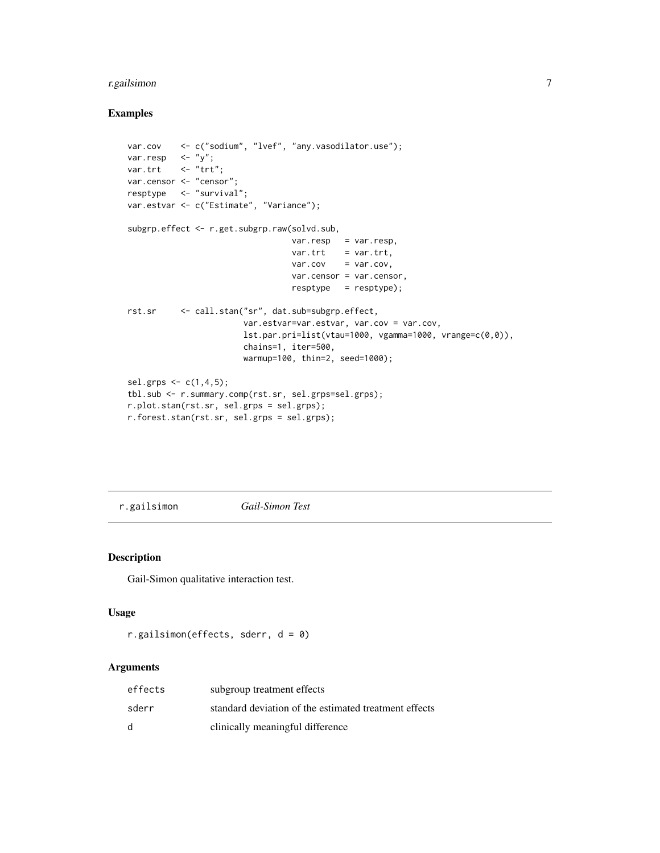# <span id="page-6-0"></span>r.gailsimon 7

# Examples

```
var.cov <- c("sodium", "lvef", "any.vasodilator.use");
var.resp \langle - "y";
var.trt \langle - "trt";
var.censor <- "censor";
resptype <- "survival";
var.estvar <- c("Estimate", "Variance");
subgrp.effect <- r.get.subgrp.raw(solvd.sub,
                                  var.resp = var.resp,
                                  var.tr = var.trt,
                                  var.cov = var.cov,var.censor = var.censor,
                                  resptype = resptype);
rst.sr <- call.stan("sr", dat.sub=subgrp.effect,
                        var.estvar=var.estvar, var.cov = var.cov,
                        lst.par.pri=list(vtau=1000, vgamma=1000, vrange=c(0,0)),
                        chains=1, iter=500,
                        warmup=100, thin=2, seed=1000);
sel.grps \leq c(1, 4, 5);
tbl.sub <- r.summary.comp(rst.sr, sel.grps=sel.grps);
r.plot.stan(rst.sr, sel.grps = sel.grps);
r.forest.stan(rst.sr, sel.grps = sel.grps);
```
r.gailsimon *Gail-Simon Test*

# Description

Gail-Simon qualitative interaction test.

#### Usage

```
r.gailsimon(effects, sderr, d = 0)
```
#### Arguments

| effects | subgroup treatment effects                            |
|---------|-------------------------------------------------------|
| sderr   | standard deviation of the estimated treatment effects |
| d       | clinically meaningful difference                      |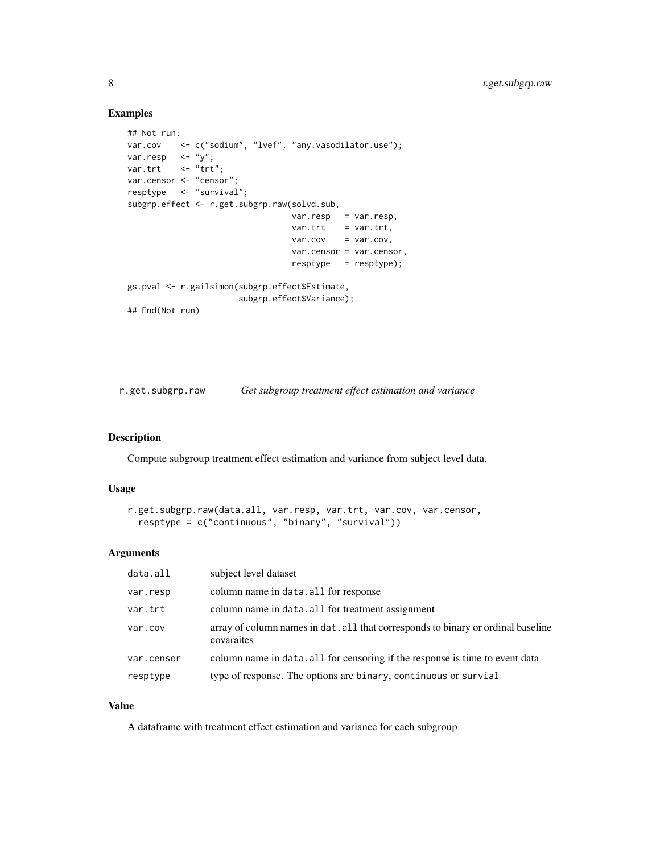# Examples

```
## Not run:
var.cov <- c("sodium", "lvef", "any.vasodilator.use");
var.resp \langle - "y";
var.trt <- "trt";
var.censor <- "censor";
resptype <- "survival";
subgrp.effect <- r.get.subgrp.raw(solvd.sub,
                                 var.resp = var.resp,
                                 var.trt = var.trt,
                                 var.cov = var.cov,var.censor = var.censor,
                                 resptype = resptype);
gs.pval <- r.gailsimon(subgrp.effect$Estimate,
                      subgrp.effect$Variance);
## End(Not run)
```
r.get.subgrp.raw *Get subgroup treatment effect estimation and variance*

#### Description

Compute subgroup treatment effect estimation and variance from subject level data.

#### Usage

```
r.get.subgrp.raw(data.all, var.resp, var.trt, var.cov, var.censor,
 resptype = c("continuous", "binary", "survival"))
```
# Arguments

| data.all   | subject level dataset                                                                          |
|------------|------------------------------------------------------------------------------------------------|
| var.resp   | column name in data. all for response                                                          |
| var.trt    | column name in data. all for treatment assignment                                              |
| var.cov    | array of column names in dat. all that corresponds to binary or ordinal baseline<br>covaraites |
| var.censor | column name in data. all for censoring if the response is time to event data                   |
| resptype   | type of response. The options are binary, continuous or survial                                |

# Value

A dataframe with treatment effect estimation and variance for each subgroup

<span id="page-7-0"></span>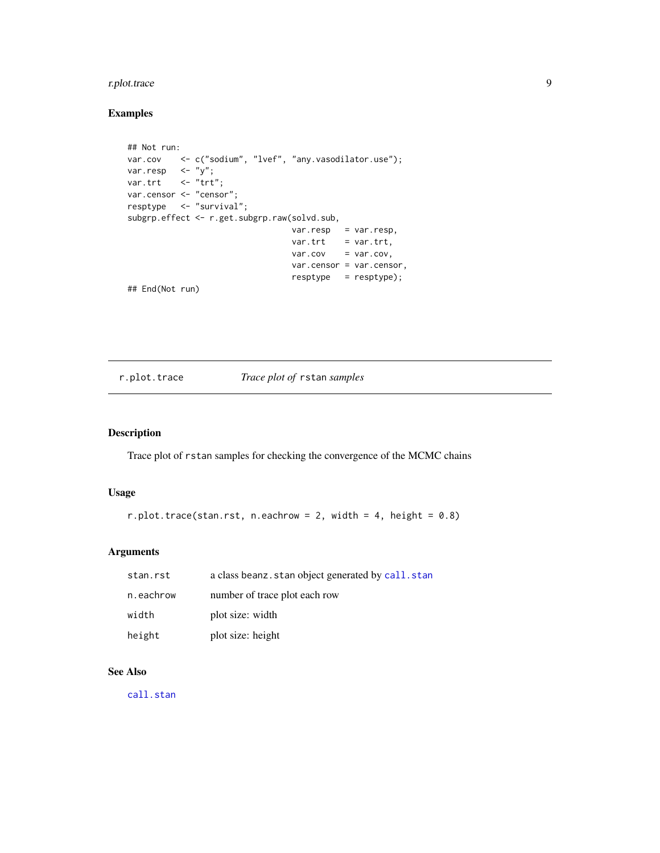# <span id="page-8-0"></span>r.plot.trace 9

# Examples

```
## Not run:
var.cov <- c("sodium", "lvef", "any.vasodilator.use");
var.resp <- "y";
var.trt <- "trt";
var.censor <- "censor";
resptype <- "survival";
subgrp.effect <- r.get.subgrp.raw(solvd.sub,
                                var.resp = var.resp,
                                var.tr = var.trt,
                                var.cov = var.cov,
                                var.censor = var.censor,
                                resptype = resptype);
## End(Not run)
```
r.plot.trace *Trace plot of* rstan *samples*

# Description

Trace plot of rstan samples for checking the convergence of the MCMC chains

#### Usage

```
r.plot.trace(stan.rst, n.eachrow = 2, width = 4, height = 0.8)
```
# Arguments

| stan.rst  | a class beanz. stan object generated by call. stan |
|-----------|----------------------------------------------------|
| n.eachrow | number of trace plot each row                      |
| width     | plot size: width                                   |
| height    | plot size: height                                  |

# See Also

[call.stan](#page-3-1)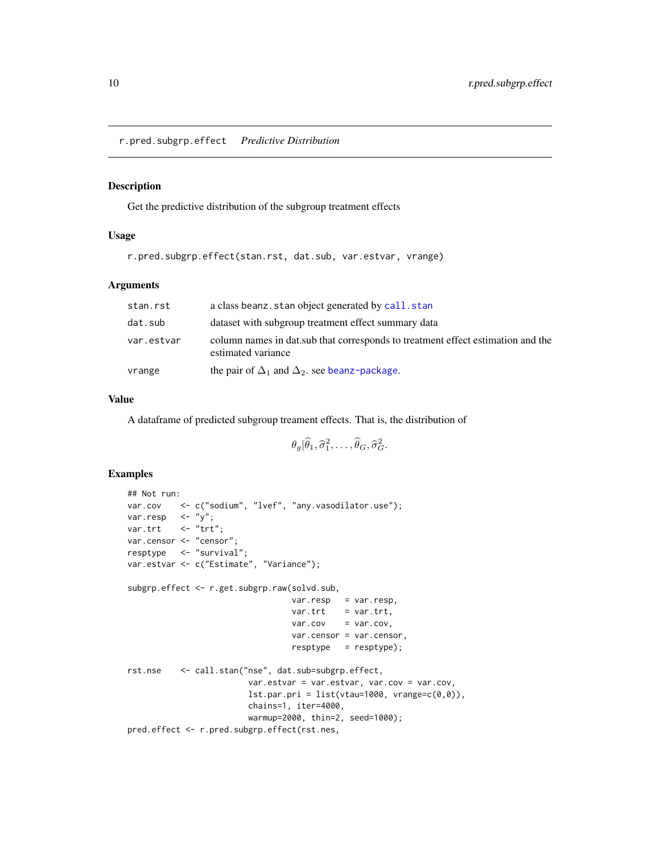<span id="page-9-0"></span>r.pred.subgrp.effect *Predictive Distribution*

#### Description

Get the predictive distribution of the subgroup treatment effects

#### Usage

r.pred.subgrp.effect(stan.rst, dat.sub, var.estvar, vrange)

# Arguments

| stan.rst   | a class beanz. stan object generated by call. stan                                                     |
|------------|--------------------------------------------------------------------------------------------------------|
| dat.sub    | dataset with subgroup treatment effect summary data                                                    |
| var.estvar | column names in dat. sub that corresponds to treatment effect estimation and the<br>estimated variance |
| vrange     | the pair of $\Delta_1$ and $\Delta_2$ , see beanz-package.                                             |

### Value

A dataframe of predicted subgroup treament effects. That is, the distribution of

$$
\theta_g|\widehat{\theta}_1,\widehat{\sigma}_1^2,\ldots,\widehat{\theta}_G,\widehat{\sigma}_G^2.
$$

# Examples

```
## Not run:
var.cov <- c("sodium", "lvef", "any.vasodilator.use");
var.resp \langle - "y";
var.trt <- "trt";
var.censor <- "censor";
resptype <- "survival";
var.estvar <- c("Estimate", "Variance");
subgrp.effect <- r.get.subgrp.raw(solvd.sub,
                                 var.resp = var.resp,
                                 var.tr = var.trt,
                                 var.cov = var.cov,
                                 var.censor = var.censor,
                                 resptype = resptype);
rst.nse <- call.stan("nse", dat.sub=subgrp.effect,
                        var.estvar = var.estvar, var.cov = var.cov,
                        lst.print = list(vtau=1000, vrange=c(0,0)),chains=1, iter=4000,
                        warmup=2000, thin=2, seed=1000);
pred.effect <- r.pred.subgrp.effect(rst.nes,
```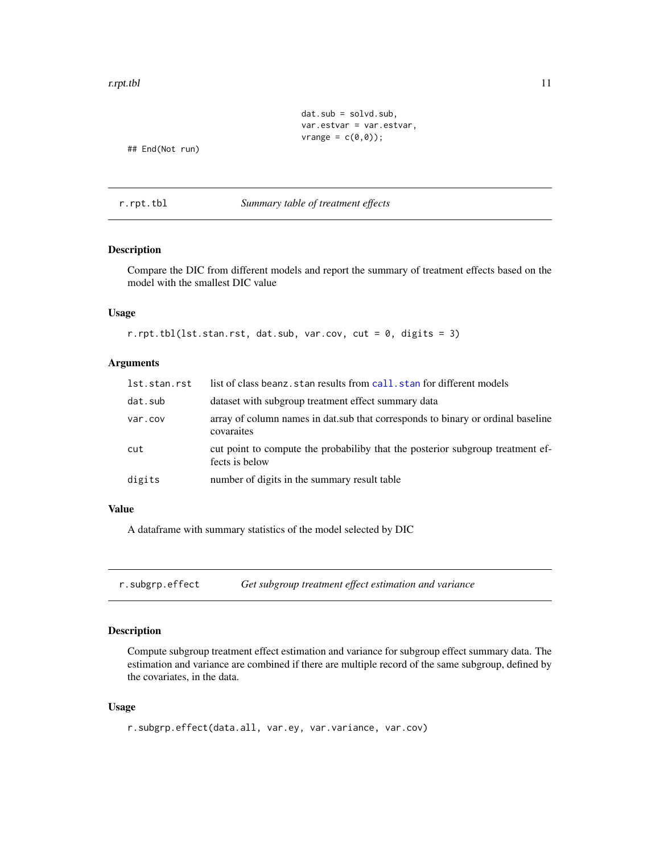#### <span id="page-10-0"></span>r.rpt.tbl 11

```
dat.sub = solvd.sub,
var.estvar = var.estvar,
vrange = c(\emptyset, \emptyset);
```
## End(Not run)

r.rpt.tbl *Summary table of treatment effects*

# Description

Compare the DIC from different models and report the summary of treatment effects based on the model with the smallest DIC value

#### Usage

```
r.rpt.tbl(lst.stan.rst, dat.sub, var.cov, cut = 0, digits = 3)
```
#### Arguments

| lst.stan.rst | list of class beanz, stan results from call, stan for different models                           |
|--------------|--------------------------------------------------------------------------------------------------|
| dat.sub      | dataset with subgroup treatment effect summary data                                              |
| var.cov      | array of column names in dat. sub that corresponds to binary or ordinal baseline<br>covaraites   |
| cut          | cut point to compute the probabiliby that the posterior subgroup treatment ef-<br>fects is below |
| digits       | number of digits in the summary result table                                                     |

# Value

A dataframe with summary statistics of the model selected by DIC

r.subgrp.effect *Get subgroup treatment effect estimation and variance*

#### Description

Compute subgroup treatment effect estimation and variance for subgroup effect summary data. The estimation and variance are combined if there are multiple record of the same subgroup, defined by the covariates, in the data.

# Usage

```
r.subgrp.effect(data.all, var.ey, var.variance, var.cov)
```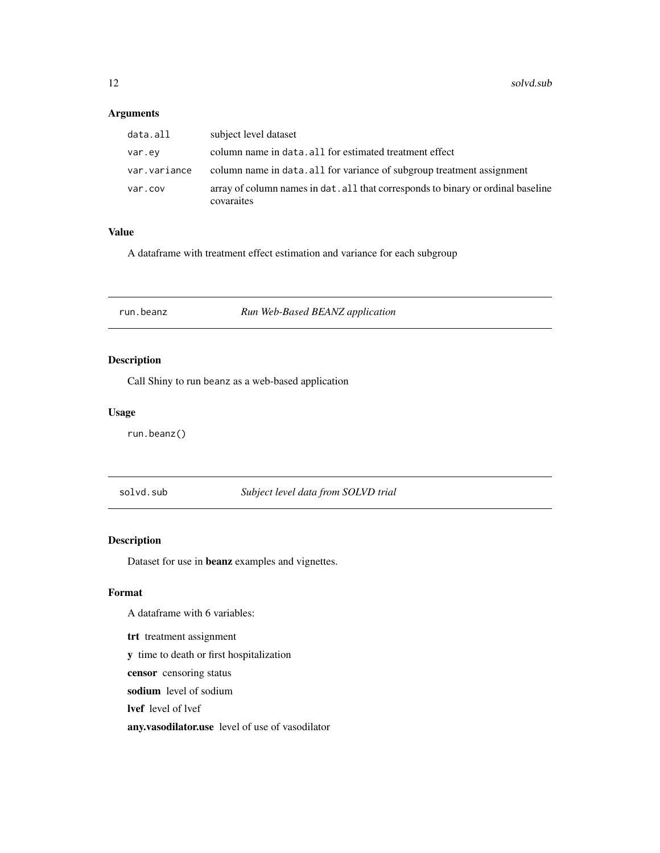# <span id="page-11-0"></span>Arguments

| data.all     | subject level dataset                                                                          |
|--------------|------------------------------------------------------------------------------------------------|
| var.ev       | column name in data. all for estimated treatment effect                                        |
| var.variance | column name in data. all for variance of subgroup treatment assignment                         |
| var.cov      | array of column names in dat. all that corresponds to binary or ordinal baseline<br>covaraites |

# Value

A dataframe with treatment effect estimation and variance for each subgroup

<span id="page-11-1"></span>run.beanz *Run Web-Based BEANZ application*

# Description

Call Shiny to run beanz as a web-based application

#### Usage

run.beanz()

solvd.sub *Subject level data from SOLVD trial*

# Description

Dataset for use in beanz examples and vignettes.

# Format

A dataframe with 6 variables:

trt treatment assignment

y time to death or first hospitalization

censor censoring status

sodium level of sodium

lvef level of lvef

any.vasodilator.use level of use of vasodilator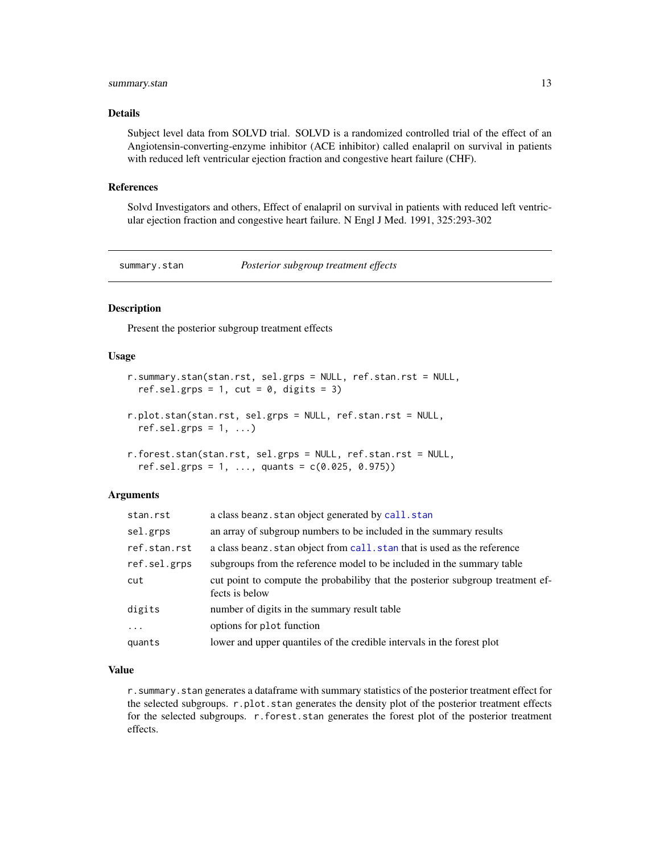# <span id="page-12-0"></span>summary.stan 13

#### Details

Subject level data from SOLVD trial. SOLVD is a randomized controlled trial of the effect of an Angiotensin-converting-enzyme inhibitor (ACE inhibitor) called enalapril on survival in patients with reduced left ventricular ejection fraction and congestive heart failure (CHF).

#### References

Solvd Investigators and others, Effect of enalapril on survival in patients with reduced left ventricular ejection fraction and congestive heart failure. N Engl J Med. 1991, 325:293-302

summary.stan *Posterior subgroup treatment effects*

# Description

Present the posterior subgroup treatment effects

#### Usage

```
r.summary.stan(stan.rst, sel.grps = NULL, ref.stan.rst = NULL,
 ref.sel.grps = 1, cut = 0, digits = 3)
r.plot.stan(stan.rst, sel.grps = NULL, ref.stan.rst = NULL,
  ref.setl.grps = 1, ...)
```

```
r.forest.stan(stan.rst, sel.grps = NULL, ref.stan.rst = NULL,
  ref.set.grps = 1, ..., quants = c(0.025, 0.975)
```
#### Arguments

| stan.rst     | a class beanz. stan object generated by call. stan                                               |
|--------------|--------------------------------------------------------------------------------------------------|
| sel.grps     | an array of subgroup numbers to be included in the summary results                               |
| ref.stan.rst | a class beanz. stan object from call. stan that is used as the reference                         |
| ref.sel.grps | subgroups from the reference model to be included in the summary table                           |
| cut          | cut point to compute the probabiliby that the posterior subgroup treatment ef-<br>fects is below |
| digits       | number of digits in the summary result table                                                     |
| $\ddots$     | options for plot function                                                                        |
| quants       | lower and upper quantiles of the credible intervals in the forest plot                           |

#### Value

r.summary.stan generates a dataframe with summary statistics of the posterior treatment effect for the selected subgroups. r.plot.stan generates the density plot of the posterior treatment effects for the selected subgroups. r.forest.stan generates the forest plot of the posterior treatment effects.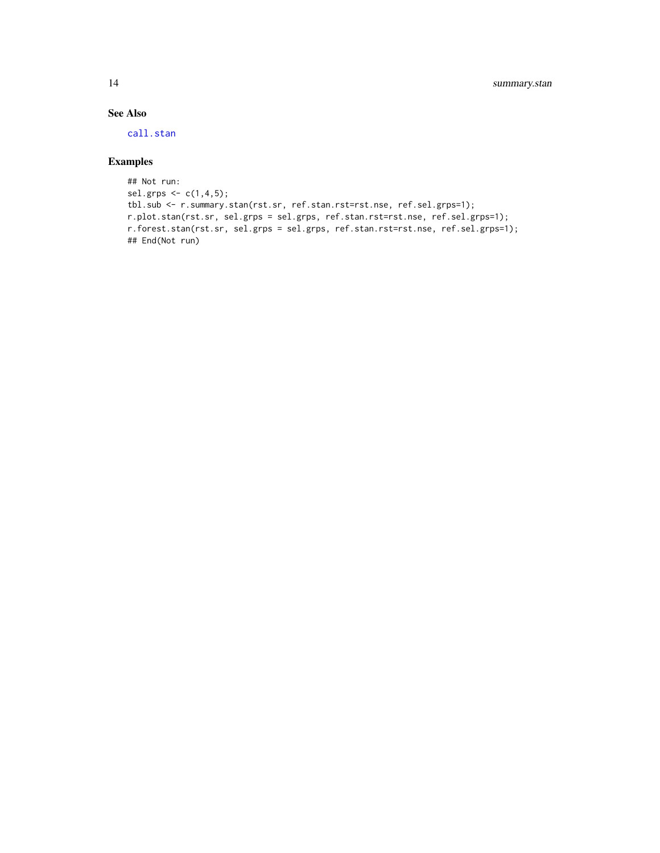# See Also

[call.stan](#page-3-1)

# Examples

```
## Not run:
sel.grps <-c(1,4,5);tbl.sub <- r.summary.stan(rst.sr, ref.stan.rst=rst.nse, ref.sel.grps=1);
r.plot.stan(rst.sr, sel.grps = sel.grps, ref.stan.rst=rst.nse, ref.sel.grps=1);
r.forest.stan(rst.sr, sel.grps = sel.grps, ref.stan.rst=rst.nse, ref.sel.grps=1);
## End(Not run)
```
<span id="page-13-0"></span>